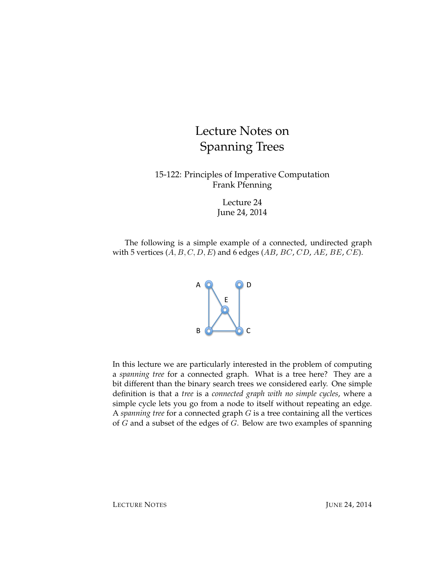# Lecture Notes on Spanning Trees

15-122: Principles of Imperative Computation Frank Pfenning

> Lecture 24 June 24, 2014

The following is a simple example of a connected, undirected graph with 5 vertices  $(A, B, C, D, E)$  and 6 edges  $(AB, BC, CD, AE, BE, CE)$ .



In this lecture we are particularly interested in the problem of computing a *spanning tree* for a connected graph. What is a tree here? They are a bit different than the binary search trees we considered early. One simple definition is that a *tree* is a *connected graph with no simple cycles*, where a simple cycle lets you go from a node to itself without repeating an edge. A *spanning tree* for a connected graph G is a tree containing all the vertices of  $G$  and a subset of the edges of  $G$ . Below are two examples of spanning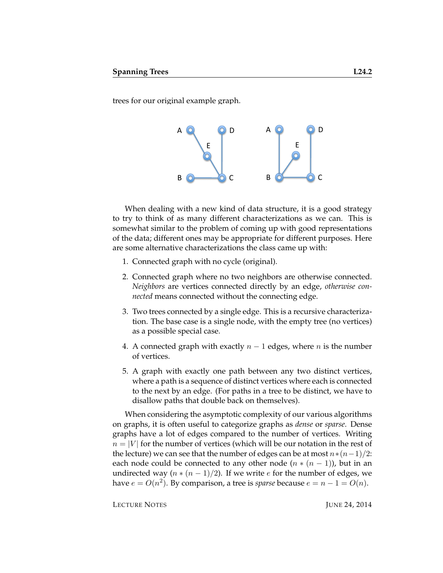trees for our original example graph.



When dealing with a new kind of data structure, it is a good strategy to try to think of as many different characterizations as we can. This is somewhat similar to the problem of coming up with good representations of the data; different ones may be appropriate for different purposes. Here are some alternative characterizations the class came up with:

- 1. Connected graph with no cycle (original).
- 2. Connected graph where no two neighbors are otherwise connected. *Neighbors* are vertices connected directly by an edge, *otherwise connected* means connected without the connecting edge.
- 3. Two trees connected by a single edge. This is a recursive characterization. The base case is a single node, with the empty tree (no vertices) as a possible special case.
- 4. A connected graph with exactly  $n 1$  edges, where n is the number of vertices.
- 5. A graph with exactly one path between any two distinct vertices, where a path is a sequence of distinct vertices where each is connected to the next by an edge. (For paths in a tree to be distinct, we have to disallow paths that double back on themselves).

When considering the asymptotic complexity of our various algorithms on graphs, it is often useful to categorize graphs as *dense* or *sparse*. Dense graphs have a lot of edges compared to the number of vertices. Writing  $n = |V|$  for the number of vertices (which will be our notation in the rest of the lecture) we can see that the number of edges can be at most  $n*(n-1)/2$ : each node could be connected to any other node  $(n * (n - 1))$ , but in an undirected way  $(n * (n - 1)/2)$ . If we write *e* for the number of edges, we have  $e = O(n^2)$ . By comparison, a tree is *sparse* because  $e = n - 1 = O(n)$ .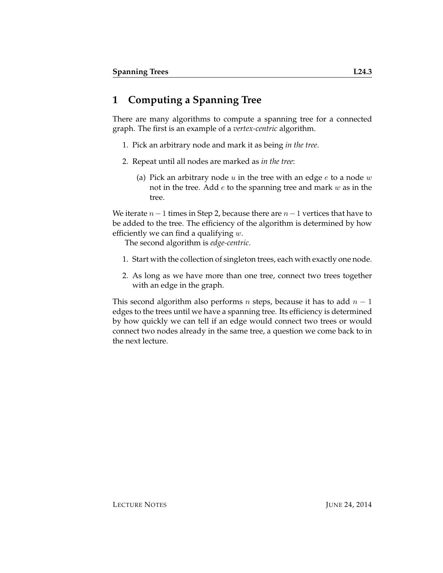## **1 Computing a Spanning Tree**

There are many algorithms to compute a spanning tree for a connected graph. The first is an example of a *vertex-centric* algorithm.

- 1. Pick an arbitrary node and mark it as being *in the tree*.
- 2. Repeat until all nodes are marked as *in the tree*:
	- (a) Pick an arbitrary node  $u$  in the tree with an edge  $e$  to a node  $w$ not in the tree. Add  $e$  to the spanning tree and mark  $w$  as in the tree.

We iterate  $n-1$  times in Step 2, because there are  $n-1$  vertices that have to be added to the tree. The efficiency of the algorithm is determined by how efficiently we can find a qualifying  $w$ .

The second algorithm is *edge-centric*.

- 1. Start with the collection of singleton trees, each with exactly one node.
- 2. As long as we have more than one tree, connect two trees together with an edge in the graph.

This second algorithm also performs *n* steps, because it has to add  $n - 1$ edges to the trees until we have a spanning tree. Its efficiency is determined by how quickly we can tell if an edge would connect two trees or would connect two nodes already in the same tree, a question we come back to in the next lecture.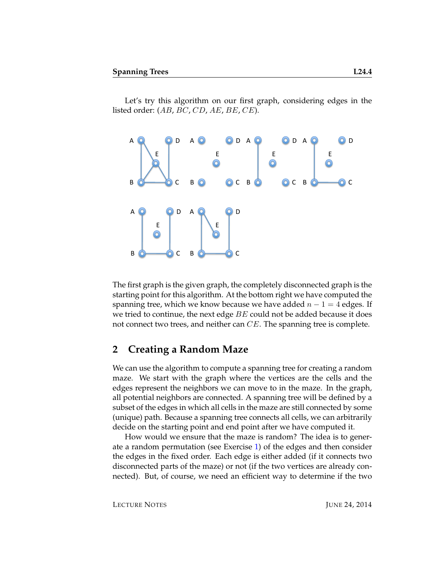Let's try this algorithm on our first graph, considering edges in the listed order:  $(AB, BC, CD, AE, BE, CE)$ .



The first graph is the given graph, the completely disconnected graph is the starting point for this algorithm. At the bottom right we have computed the spanning tree, which we know because we have added  $n - 1 = 4$  edges. If we tried to continue, the next edge  $BE$  could not be added because it does not connect two trees, and neither can CE. The spanning tree is complete.

#### **2 Creating a Random Maze**

We can use the algorithm to compute a spanning tree for creating a random maze. We start with the graph where the vertices are the cells and the edges represent the neighbors we can move to in the maze. In the graph, all potential neighbors are connected. A spanning tree will be defined by a subset of the edges in which all cells in the maze are still connected by some (unique) path. Because a spanning tree connects all cells, we can arbitrarily decide on the starting point and end point after we have computed it.

How would we ensure that the maze is random? The idea is to generate a random permutation (see Exercise [1\)](#page-7-0) of the edges and then consider the edges in the fixed order. Each edge is either added (if it connects two disconnected parts of the maze) or not (if the two vertices are already connected). But, of course, we need an efficient way to determine if the two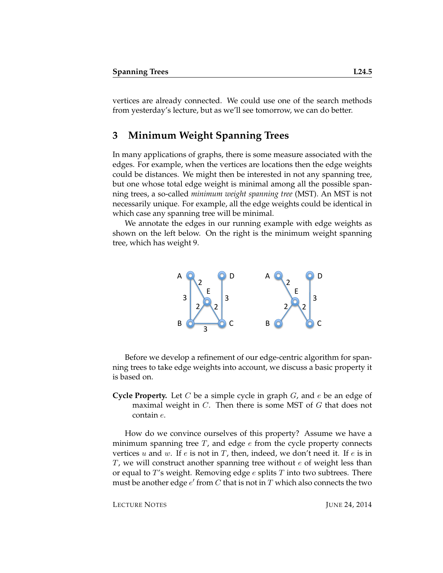vertices are already connected. We could use one of the search methods from yesterday's lecture, but as we'll see tomorrow, we can do better.

#### **3 Minimum Weight Spanning Trees**

In many applications of graphs, there is some measure associated with the edges. For example, when the vertices are locations then the edge weights could be distances. We might then be interested in not any spanning tree, but one whose total edge weight is minimal among all the possible spanning trees, a so-called *minimum weight spanning tree* (MST). An MST is not necessarily unique. For example, all the edge weights could be identical in which case any spanning tree will be minimal.

We annotate the edges in our running example with edge weights as shown on the left below. On the right is the minimum weight spanning tree, which has weight 9.



Before we develop a refinement of our edge-centric algorithm for spanning trees to take edge weights into account, we discuss a basic property it is based on.

**Cycle Property.** Let C be a simple cycle in graph G, and e be an edge of maximal weight in  $C$ . Then there is some MST of  $G$  that does not contain e.

How do we convince ourselves of this property? Assume we have a minimum spanning tree  $T$ , and edge  $e$  from the cycle property connects vertices  $u$  and  $w$ . If  $e$  is not in  $T$ , then, indeed, we don't need it. If  $e$  is in  $T$ , we will construct another spanning tree without  $e$  of weight less than or equal to  $T$ 's weight. Removing edge e splits  $T$  into two subtrees. There must be another edge  $e'$  from  $C$  that is not in  $T$  which also connects the two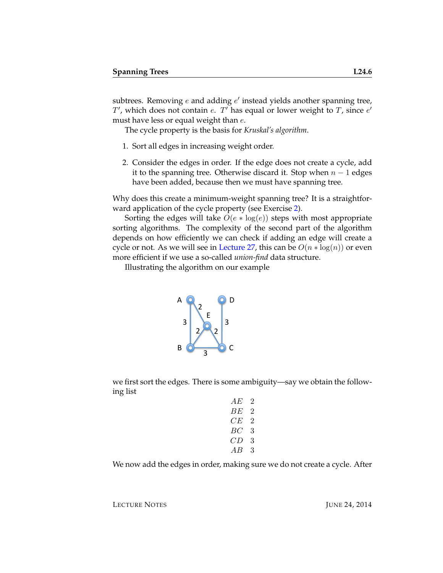subtrees. Removing  $e$  and adding  $e'$  instead yields another spanning tree,  $T'$ , which does not contain e.  $T'$  has equal or lower weight to  $T$ , since  $e'$ must have less or equal weight than  $e$ .

The cycle property is the basis for *Kruskal's algorithm*.

- 1. Sort all edges in increasing weight order.
- 2. Consider the edges in order. If the edge does not create a cycle, add it to the spanning tree. Otherwise discard it. Stop when  $n - 1$  edges have been added, because then we must have spanning tree.

Why does this create a minimum-weight spanning tree? It is a straightforward application of the cycle property (see Exercise [2\)](#page-7-1).

Sorting the edges will take  $O(e * log(e))$  steps with most appropriate sorting algorithms. The complexity of the second part of the algorithm depends on how efficiently we can check if adding an edge will create a cycle or not. As we will see in [Lecture 27,](http://www.cs.cmu.edu/~fp/courses/15122-s11/lectures/27-unionfind.pdf) this can be  $O(n * log(n))$  or even more efficient if we use a so-called *union-find* data structure.

Illustrating the algorithm on our example



we first sort the edges. There is some ambiguity—say we obtain the following list

| AЕ | 2  |
|----|----|
| BЕ | '2 |
| CЕ | '2 |
| ВC | 3  |
| CD | 3  |
| АB | 3  |
|    |    |

We now add the edges in order, making sure we do not create a cycle. After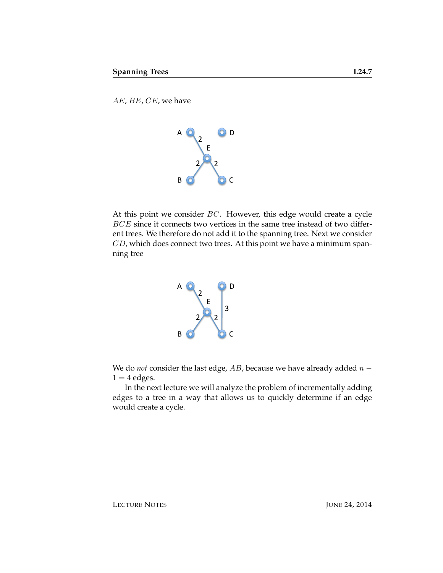AE, BE, CE, we have



At this point we consider  $BC$ . However, this edge would create a cycle BCE since it connects two vertices in the same tree instead of two different trees. We therefore do not add it to the spanning tree. Next we consider CD, which does connect two trees. At this point we have a minimum spanning tree



We do *not* consider the last edge,  $AB$ , because we have already added  $n 1 = 4$  edges.

In the next lecture we will analyze the problem of incrementally adding edges to a tree in a way that allows us to quickly determine if an edge would create a cycle.